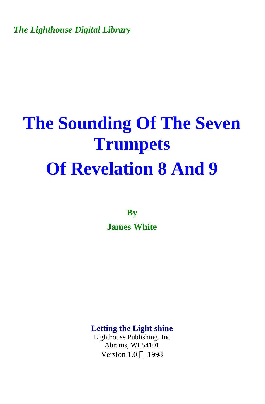*The Lighthouse Digital Library* 

# **The Sounding Of The Seven Trumpets Of Revelation 8 And 9**

**By James White** 

**Letting the Light shine** 

Lighthouse Publishing, Inc Abrams, WI 54101 Version  $1.0 \odot 1998$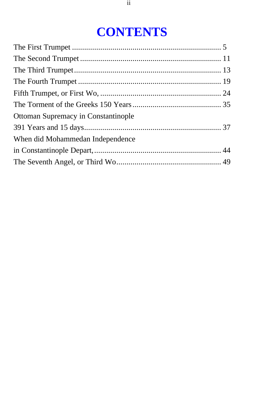# **CONTENTS**

| <b>Ottoman Supremacy in Constantinople</b> |  |
|--------------------------------------------|--|
|                                            |  |
| When did Mohammedan Independence           |  |
|                                            |  |
|                                            |  |
|                                            |  |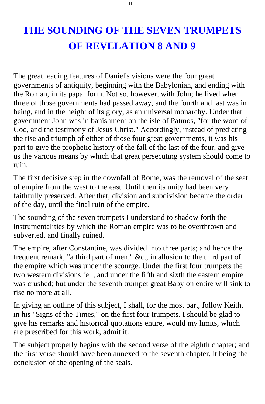## **THE SOUNDING OF THE SEVEN TRUMPETS OF REVELATION 8 AND 9**

The great leading features of Daniel's visions were the four great governments of antiquity, beginning with the Babylonian, and ending with the Roman, in its papal form. Not so, however, with John; he lived when three of those governments had passed away, and the fourth and last was in being, and in the height of its glory, as an universal monarchy. Under that government John was in banishment on the isle of Patmos, "for the word of God, and the testimony of Jesus Christ." Accordingly, instead of predicting the rise and triumph of either of those four great governments, it was his part to give the prophetic history of the fall of the last of the four, and give us the various means by which that great persecuting system should come to ruin.

The first decisive step in the downfall of Rome, was the removal of the seat of empire from the west to the east. Until then its unity had been very faithfully preserved. After that, division and subdivision became the order of the day, until the final ruin of the empire.

The sounding of the seven trumpets I understand to shadow forth the instrumentalities by which the Roman empire was to be overthrown and subverted, and finally ruined.

The empire, after Constantine, was divided into three parts; and hence the frequent remark, "a third part of men," &c., in allusion to the third part of the empire which was under the scourge. Under the first four trumpets the two western divisions fell, and under the fifth and sixth the eastern empire was crushed; but under the seventh trumpet great Babylon entire will sink to rise no more at all.

In giving an outline of this subject, I shall, for the most part, follow Keith, in his "Signs of the Times," on the first four trumpets. I should be glad to give his remarks and historical quotations entire, would my limits, which are prescribed for this work, admit it.

The subject properly begins with the second verse of the eighth chapter; and the first verse should have been annexed to the seventh chapter, it being the conclusion of the opening of the seals.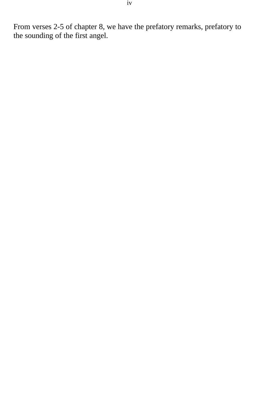From verses 2-5 of chapter 8, we have the prefatory remarks, prefatory to the sounding of the first angel.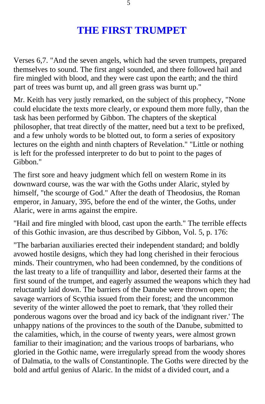#### **THE FIRST TRUMPET**

<span id="page-4-0"></span>Verses 6,7. "And the seven angels, which had the seven trumpets, prepared themselves to sound. The first angel sounded, and there followed hail and fire mingled with blood, and they were cast upon the earth; and the third part of trees was burnt up, and all green grass was burnt up."

Mr. Keith has very justly remarked, on the subject of this prophecy, "None could elucidate the texts more clearly, or expound them more fully, than the task has been performed by Gibbon. The chapters of the skeptical philosopher, that treat directly of the matter, need but a text to be prefixed, and a few unholy words to be blotted out, to form a series of expository lectures on the eighth and ninth chapters of Revelation." "Little or nothing is left for the professed interpreter to do but to point to the pages of Gibbon."

The first sore and heavy judgment which fell on western Rome in its downward course, was the war with the Goths under Alaric, styled by himself, "the scourge of God." After the death of Theodosius, the Roman emperor, in January, 395, before the end of the winter, the Goths, under Alaric, were in arms against the empire.

"Hail and fire mingled with blood, cast upon the earth." The terrible effects of this Gothic invasion, are thus described by Gibbon, Vol. 5, p. 176:

"The barbarian auxiliaries erected their independent standard; and boldly avowed hostile designs, which they had long cherished in their ferocious minds. Their countrymen, who had been condemned, by the conditions of the last treaty to a life of tranquillity and labor, deserted their farms at the first sound of the trumpet, and eagerly assumed the weapons which they had reluctantly laid down. The barriers of the Danube were thrown open; the savage warriors of Scythia issued from their forest; and the uncommon severity of the winter allowed the poet to remark, that 'they rolled their ponderous wagons over the broad and icy back of the indignant river.' The unhappy nations of the provinces to the south of the Danube, submitted to the calamities, which, in the course of twenty years, were almost grown familiar to their imagination; and the various troops of barbarians, who gloried in the Gothic name, were irregularly spread from the woody shores of Dalmatia, to the walls of Constantinople. The Goths were directed by the bold and artful genius of Alaric. In the midst of a divided court, and a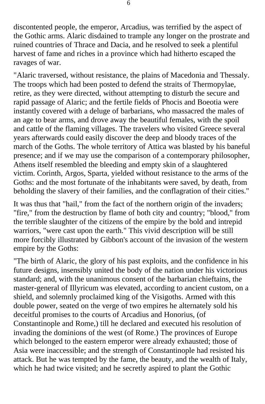discontented people, the emperor, Arcadius, was terrified by the aspect of the Gothic arms. Alaric disdained to trample any longer on the prostrate and ruined countries of Thrace and Dacia, and he resolved to seek a plentiful harvest of fame and riches in a province which had hitherto escaped the ravages of war.

"Alaric traversed, without resistance, the plains of Macedonia and Thessaly. The troops which had been posted to defend the straits of Thermopylae, retire, as they were directed, without attempting to disturb the secure and rapid passage of Alaric; and the fertile fields of Phocis and Boeotia were instantly covered with a deluge of barbarians, who massacred the males of an age to bear arms, and drove away the beautiful females, with the spoil and cattle of the flaming villages. The travelers who visited Greece several years afterwards could easily discover the deep and bloody traces of the march of the Goths. The whole territory of Attica was blasted by his baneful presence; and if we may use the comparison of a contemporary philosopher, Athens itself resembled the bleeding and empty skin of a slaughtered victim. Corinth, Argos, Sparta, yielded without resistance to the arms of the Goths: and the most fortunate of the inhabitants were saved, by death, from beholding the slavery of their families, and the conflagration of their cities."

It was thus that "hail," from the fact of the northern origin of the invaders; "fire," from the destruction by flame of both city and country; "blood," from the terrible slaughter of the citizens of the empire by the bold and intrepid warriors, "were cast upon the earth." This vivid description will be still more forcibly illustrated by Gibbon's account of the invasion of the western empire by the Goths:

"The birth of Alaric, the glory of his past exploits, and the confidence in his future designs, insensibly united the body of the nation under his victorious standard; and, with the unanimous consent of the barbarian chieftains, the master-general of Illyricum was elevated, according to ancient custom, on a shield, and solemnly proclaimed king of the Visigoths. Armed with this double power, seated on the verge of two empires he alternately sold his deceitful promises to the courts of Arcadius and Honorius, (of Constantinople and Rome,) till he declared and executed his resolution of invading the dominions of the west (of Rome.) The provinces of Europe which belonged to the eastern emperor were already exhausted; those of Asia were inaccessible; and the strength of Constantinople had resisted his attack. But he was tempted by the fame, the beauty, and the wealth of Italy, which he had twice visited; and he secretly aspired to plant the Gothic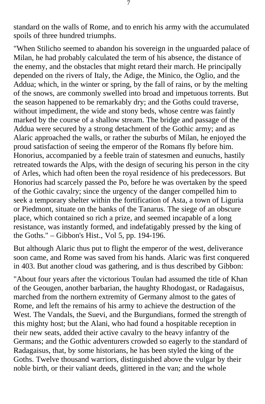standard on the walls of Rome, and to enrich his army with the accumulated spoils of three hundred triumphs.

"When Stilicho seemed to abandon his sovereign in the unguarded palace of Milan, he had probably calculated the term of his absence, the distance of the enemy, and the obstacles that might retard their march. He principally depended on the rivers of Italy, the Adige, the Minico, the Oglio, and the Addua; which, in the winter or spring, by the fall of rains, or by the melting of the snows, are commonly swelled into broad and impetuous torrents. But the season happened to be remarkably dry; and the Goths could traverse, without impediment, the wide and stony beds, whose centre was faintly marked by the course of a shallow stream. The bridge and passage of the Addua were secured by a strong detachment of the Gothic army; and as Alaric approached the walls, or rather the suburbs of Milan, he enjoyed the proud satisfaction of seeing the emperor of the Romans fly before him. Honorius, accompanied by a feeble train of statesmen and eunuchs, hastily retreated towards the Alps, with the design of securing his person in the city of Arles, which had often been the royal residence of his predecessors. But Honorius had scarcely passed the Po, before he was overtaken by the speed of the Gothic cavalry; since the urgency of the danger compelled him to seek a temporary shelter within the fortification of Asta, a town of Liguria or Piedmont, situate on the banks of the Tanarus. The siege of an obscure place, which contained so rich a prize, and seemed incapable of a long resistance, was instantly formed, and indefatigably pressed by the king of the Goths." – Gibbon's Hist., Vol 5, pp. 194-196.

But although Alaric thus put to flight the emperor of the west, deliverance soon came, and Rome was saved from his hands. Alaric was first conquered in 403. But another cloud was gathering, and is thus described by Gibbon:

"About four years after the victorious Toulan had assumed the title of Khan of the Geougen, another barbarian, the haughty Rhodogast, or Radagaisus, marched from the northern extremity of Germany almost to the gates of Rome, and left the remains of his army to achieve the destruction of the West. The Vandals, the Suevi, and the Burgundians, formed the strength of this mighty host; but the Alani, who had found a hospitable reception in their new seats, added their active cavalry to the heavy infantry of the Germans; and the Gothic adventurers crowded so eagerly to the standard of Radagaisus, that, by some historians, he has been styled the king of the Goths. Twelve thousand warriors, distinguished above the vulgar by their noble birth, or their valiant deeds, glittered in the van; and the whole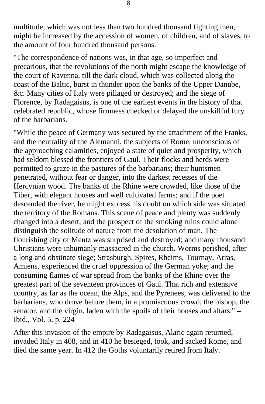multitude, which was not less than two hundred thousand fighting men, might be increased by the accession of women, of children, and of slaves, to the amount of four hundred thousand persons.

"The correspondence of nations was, in that age, so imperfect and precarious, that the revolutions of the north might escape the knowledge of the court of Ravenna, till the dark cloud, which was collected along the coast of the Baltic, burst in thunder upon the banks of the Upper Danube, &c. Many cities of Italy were pillaged or destroyed; and the siege of Florence, by Radagaisus, is one of the earliest events in the history of that celebrated republic, whose firmness checked or delayed the unskillful fury of the barbarians.

"While the peace of Germany was secured by the attachment of the Franks, and the neutrality of the Alemanni, the subjects of Rome, unconscious of the approaching calamities, enjoyed a state of quiet and prosperity, which had seldom blessed the frontiers of Gaul. Their flocks and herds were permitted to graze in the pastures of the barbarians; their huntsmen penetrated, without fear or danger, into the darkest recesses of the Hercynian wood. The banks of the Rhine were crowded, like those of the Tiber, with elegant houses and well cultivated farms; and if the poet descended the river, he might express his doubt on which side was situated the territory of the Romans. This scene of peace and plenty was suddenly changed into a desert; and the prospect of the smoking ruins could alone distinguish the solitude of nature from the desolation of man. The flourishing city of Mentz was surprised and destroyed; and many thousand Christians were inhumanly massacred in the church. Worms perished, after a long and obstinate siege; Strasburgh, Spires, Rheims, Tournay, Arras, Amiens, experienced the cruel oppression of the German yoke; and the consuming flames of war spread from the banks of the Rhine over the greatest part of the seventeen provinces of Gaul. That rich and extensive country, as far as the ocean, the Alps, and the Pyrenees, was delivered to the barbarians, who drove before them, in a promiscuous crowd, the bishop, the senator, and the virgin, laden with the spoils of their houses and altars." – Ibid., Vol. 5, p. 224

After this invasion of the empire by Radagaisus, Alaric again returned, invaded Italy in 408, and in 410 he besieged, took, and sacked Rome, and died the same year. In 412 the Goths voluntarily retired from Italy.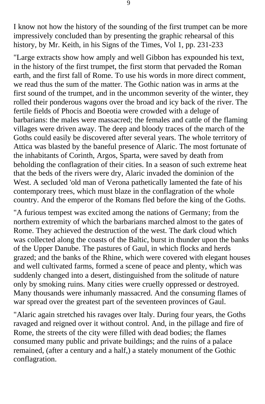I know not how the history of the sounding of the first trumpet can be more impressively concluded than by presenting the graphic rehearsal of this history, by Mr. Keith, in his Signs of the Times, Vol 1, pp. 231-233

"Large extracts show how amply and well Gibbon has expounded his text, in the history of the first trumpet, the first storm that pervaded the Roman earth, and the first fall of Rome. To use his words in more direct comment, we read thus the sum of the matter. The Gothic nation was in arms at the first sound of the trumpet, and in the uncommon severity of the winter, they rolled their ponderous wagons over the broad and icy back of the river. The fertile fields of Phocis and Boeotia were crowded with a deluge of barbarians: the males were massacred; the females and cattle of the flaming villages were driven away. The deep and bloody traces of the march of the Goths could easily be discovered after several years. The whole territory of Attica was blasted by the baneful presence of Alaric. The most fortunate of the inhabitants of Corinth, Argos, Sparta, were saved by death from beholding the conflagration of their cities. In a season of such extreme heat that the beds of the rivers were dry, Alaric invaded the dominion of the West. A secluded 'old man of Verona pathetically lamented the fate of his contemporary trees, which must blaze in the conflagration of the whole country. And the emperor of the Romans fled before the king of the Goths.

"A furious tempest was excited among the nations of Germany; from the northern extremity of which the barbarians marched almost to the gates of Rome. They achieved the destruction of the west. The dark cloud which was collected along the coasts of the Baltic, burst in thunder upon the banks of the Upper Danube. The pastures of Gaul, in which flocks and herds grazed; and the banks of the Rhine, which were covered with elegant houses and well cultivated farms, formed a scene of peace and plenty, which was suddenly changed into a desert, distinguished from the solitude of nature only by smoking ruins. Many cities were cruelly oppressed or destroyed. Many thousands were inhumanly massacred. And the consuming flames of war spread over the greatest part of the seventeen provinces of Gaul.

"Alaric again stretched his ravages over Italy. During four years, the Goths ravaged and reigned over it without control. And, in the pillage and fire of Rome, the streets of the city were filled with dead bodies; the flames consumed many public and private buildings; and the ruins of a palace remained, (after a century and a half,) a stately monument of the Gothic conflagration.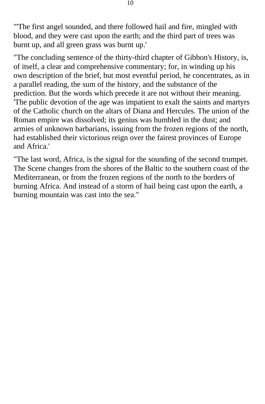"'The first angel sounded, and there followed hail and fire, mingled with blood, and they were cast upon the earth; and the third part of trees was burnt up, and all green grass was burnt up.'

"The concluding sentence of the thirty-third chapter of Gibbon's History, is, of itself, a clear and comprehensive commentary; for, in winding up his own description of the brief, but most eventful period, he concentrates, as in a parallel reading, the sum of the history, and the substance of the prediction. But the words which precede it are not without their meaning. 'The public devotion of the age was impatient to exalt the saints and martyrs of the Catholic church on the altars of Diana and Hercules. The union of the Roman empire was dissolved; its genius was humbled in the dust; and armies of unknown barbarians, issuing from the frozen regions of the north, had established their victorious reign over the fairest provinces of Europe and Africa.'

"The last word, Africa, is the signal for the sounding of the second trumpet. The Scene changes from the shores of the Baltic to the southern coast of the Mediterranean, or from the frozen regions of the north to the borders of burning Africa. And instead of a storm of hail being cast upon the earth, a burning mountain was cast into the sea."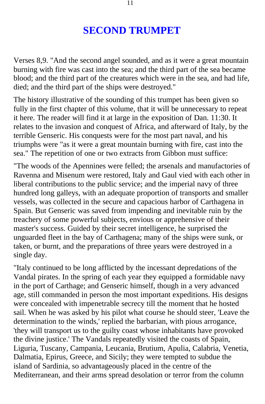#### **SECOND TRUMPET**

<span id="page-10-0"></span>Verses 8,9. "And the second angel sounded, and as it were a great mountain burning with fire was cast into the sea; and the third part of the sea became blood; and the third part of the creatures which were in the sea, and had life, died; and the third part of the ships were destroyed."

The history illustrative of the sounding of this trumpet has been given so fully in the first chapter of this volume, that it will be unnecessary to repeat it here. The reader will find it at large in the exposition of Dan. 11:30. It relates to the invasion and conquest of Africa, and afterward of Italy, by the terrible Genseric. His conquests were for the most part naval, and his triumphs were "as it were a great mountain burning with fire, cast into the sea." The repetition of one or two extracts from Gibbon must suffice:

"The woods of the Apennines were felled; the arsenals and manufactories of Ravenna and Misenum were restored, Italy and Gaul vied with each other in liberal contributions to the public service; and the imperial navy of three hundred long galleys, with an adequate proportion of transports and smaller vessels, was collected in the secure and capacious harbor of Carthagena in Spain. But Genseric was saved from impending and inevitable ruin by the treachery of some powerful subjects, envious or apprehensive of their master's success. Guided by their secret intelligence, he surprised the unguarded fleet in the bay of Carthagena; many of the ships were sunk, or taken, or burnt, and the preparations of three years were destroyed in a single day.

"Italy continued to be long afflicted by the incessant depredations of the Vandal pirates. In the spring of each year they equipped a formidable navy in the port of Carthage; and Genseric himself, though in a very advanced age, still commanded in person the most important expeditions. His designs were concealed with impenetrable secrecy till the moment that he hosted sail. When he was asked by his pilot what course he should steer, 'Leave the determination to the winds,' replied the barbarian, with pious arrogance, 'they will transport us to the guilty coast whose inhabitants have provoked the divine justice.' The Vandals repeatedly visited the coasts of Spain, Liguria, Tuscany, Campania, Leucania, Brutium, Apulia, Calabria, Venetia, Dalmatia, Epirus, Greece, and Sicily; they were tempted to subdue the island of Sardinia, so advantageously placed in the centre of the Mediterranean, and their arms spread desolation or terror from the column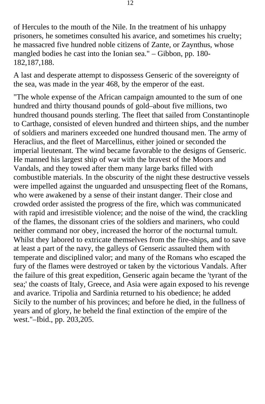of Hercules to the mouth of the Nile. In the treatment of his unhappy prisoners, he sometimes consulted his avarice, and sometimes his cruelty; he massacred five hundred noble citizens of Zante, or Zaynthus, whose mangled bodies he cast into the Ionian sea." – Gibbon, pp. 180- 182,187,188.

A last and desperate attempt to dispossess Genseric of the sovereignty of the sea, was made in the year 468, by the emperor of the east.

"The whole expense of the African campaign amounted to the sum of one hundred and thirty thousand pounds of gold–about five millions, two hundred thousand pounds sterling. The fleet that sailed from Constantinople to Carthage, consisted of eleven hundred and thirteen ships, and the number of soldiers and mariners exceeded one hundred thousand men. The army of Heraclius, and the fleet of Marcellinus, either joined or seconded the imperial lieutenant. The wind became favorable to the designs of Genseric. He manned his largest ship of war with the bravest of the Moors and Vandals, and they towed after them many large barks filled with combustible materials. In the obscurity of the night these destructive vessels were impelled against the unguarded and unsuspecting fleet of the Romans, who were awakened by a sense of their instant danger. Their close and crowded order assisted the progress of the fire, which was communicated with rapid and irresistible violence; and the noise of the wind, the crackling of the flames, the dissonant cries of the soldiers and mariners, who could neither command nor obey, increased the horror of the nocturnal tumult. Whilst they labored to extricate themselves from the fire-ships, and to save at least a part of the navy, the galleys of Genseric assaulted them with temperate and disciplined valor; and many of the Romans who escaped the fury of the flames were destroyed or taken by the victorious Vandals. After the failure of this great expedition, Genseric again became the 'tyrant of the sea;' the coasts of Italy, Greece, and Asia were again exposed to his revenge and avarice. Tripolia and Sardinia returned to his obedience; he added Sicily to the number of his provinces; and before he died, in the fullness of years and of glory, he beheld the final extinction of the empire of the west."–Ibid., pp. 203,205.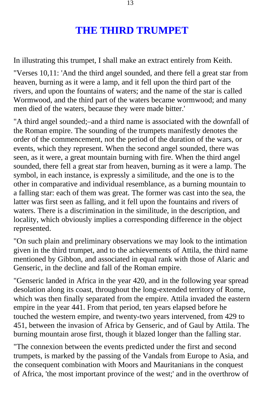#### **THE THIRD TRUMPET**

<span id="page-12-0"></span>In illustrating this trumpet, I shall make an extract entirely from Keith.

"Verses 10,11: 'And the third angel sounded, and there fell a great star from heaven, burning as it were a lamp, and it fell upon the third part of the rivers, and upon the fountains of waters; and the name of the star is called Wormwood, and the third part of the waters became wormwood; and many men died of the waters, because they were made bitter.'

"A third angel sounded;–and a third name is associated with the downfall of the Roman empire. The sounding of the trumpets manifestly denotes the order of the commencement, not the period of the duration of the wars, or events, which they represent. When the second angel sounded, there was seen, as it were, a great mountain burning with fire. When the third angel sounded, there fell a great star from heaven, burning as it were a lamp. The symbol, in each instance, is expressly a similitude, and the one is to the other in comparative and individual resemblance, as a burning mountain to a falling star: each of them was great. The former was cast into the sea, the latter was first seen as falling, and it fell upon the fountains and rivers of waters. There is a discrimination in the similitude, in the description, and locality, which obviously implies a corresponding difference in the object represented.

"On such plain and preliminary observations we may look to the intimation given in the third trumpet, and to the achievements of Attila, the third name mentioned by Gibbon, and associated in equal rank with those of Alaric and Genseric, in the decline and fall of the Roman empire.

"Genseric landed in Africa in the year 420, and in the following year spread desolation along its coast, throughout the long-extended territory of Rome, which was then finally separated from the empire. Attila invaded the eastern empire in the year 441. From that period, ten years elapsed before he touched the western empire, and twenty-two years intervened, from 429 to 451, between the invasion of Africa by Genseric, and of Gaul by Attila. The burning mountain arose first, though it blazed longer than the falling star.

"The connexion between the events predicted under the first and second trumpets, is marked by the passing of the Vandals from Europe to Asia, and the consequent combination with Moors and Mauritanians in the conquest of Africa, 'the most important province of the west;' and in the overthrow of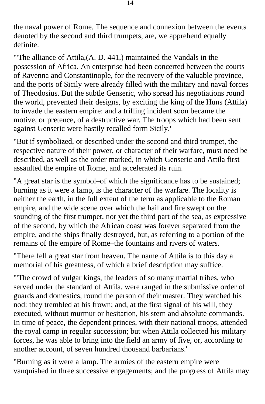the naval power of Rome. The sequence and connexion between the events denoted by the second and third trumpets, are, we apprehend equally definite.

"'The alliance of Attila,(A. D. 441,) maintained the Vandals in the possession of Africa. An enterprise had been concerted between the courts of Ravenna and Constantinople, for the recovery of the valuable province, and the ports of Sicily were already filled with the military and naval forces of Theodosius. But the subtle Genseric, who spread his negotiations round the world, prevented their designs, by exciting the king of the Huns (Attila) to invade the eastern empire: and a trifling incident soon became the motive, or pretence, of a destructive war. The troops which had been sent against Genseric were hastily recalled form Sicily.'

"But if symbolized, or described under the second and third trumpet, the respective nature of their power, or character of their warfare, must need be described, as well as the order marked, in which Genseric and Attila first assaulted the empire of Rome, and accelerated its ruin.

"A great star is the symbol–of which the significance has to be sustained; burning as it were a lamp, is the character of the warfare. The locality is neither the earth, in the full extent of the term as applicable to the Roman empire, and the wide scene over which the hail and fire swept on the sounding of the first trumpet, nor yet the third part of the sea, as expressive of the second, by which the African coast was forever separated from the empire, and the ships finally destroyed, but, as referring to a portion of the remains of the empire of Rome–the fountains and rivers of waters.

"There fell a great star from heaven. The name of Attila is to this day a memorial of his greatness, of which a brief description may suffice.

"'The crowd of vulgar kings, the leaders of so many martial tribes, who served under the standard of Attila, were ranged in the submissive order of guards and domestics, round the person of their master. They watched his nod: they trembled at his frown; and, at the first signal of his will, they executed, without murmur or hesitation, his stern and absolute commands. In time of peace, the dependent princes, with their national troops, attended the royal camp in regular succession; but when Attila collected his military forces, he was able to bring into the field an army of five, or, according to another account, of seven hundred thousand barbarians.'

"Burning as it were a lamp. The armies of the eastern empire were vanquished in three successive engagements; and the progress of Attila may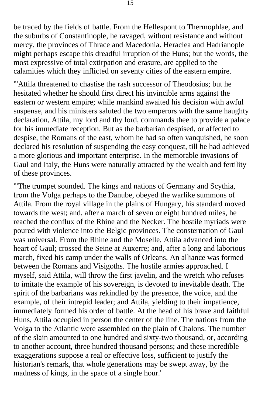be traced by the fields of battle. From the Hellespont to Thermophlae, and the suburbs of Constantinople, he ravaged, without resistance and without mercy, the provinces of Thrace and Macedonia. Heraclea and Hadrianople might perhaps escape this dreadful irruption of the Huns; but the words, the most expressive of total extirpation and erasure, are applied to the calamities which they inflicted on seventy cities of the eastern empire.

"'Attila threatened to chastise the rash successor of Theodosius; but he hesitated whether he should first direct his invincible arms against the eastern or western empire; while mankind awaited his decision with awful suspense, and his ministers saluted the two emperors with the same haughty declaration, Attila, my lord and thy lord, commands thee to provide a palace for his immediate reception. But as the barbarian despised, or affected to despise, the Romans of the east, whom he had so often vanquished, he soon declared his resolution of suspending the easy conquest, till he had achieved a more glorious and important enterprise. In the memorable invasions of Gaul and Italy, the Huns were naturally attracted by the wealth and fertility of these provinces.

"'The trumpet sounded. The kings and nations of Germany and Scythia, from the Volga perhaps to the Danube, obeyed the warlike summons of Attila. From the royal village in the plains of Hungary, his standard moved towards the west; and, after a march of seven or eight hundred miles, he reached the conflux of the Rhine and the Necker. The hostile myriads were poured with violence into the Belgic provinces. The consternation of Gaul was universal. From the Rhine and the Moselle, Attila advanced into the heart of Gaul; crossed the Seine at Auxerre; and, after a long and laborious march, fixed his camp under the walls of Orleans. An alliance was formed between the Romans and Visigoths. The hostile armies approached. I myself, said Attila, will throw the first javelin, and the wretch who refuses to imitate the example of his sovereign, is devoted to inevitable death. The spirit of the barbarians was rekindled by the presence, the voice, and the example, of their intrepid leader; and Attila, yielding to their impatience, immediately formed his order of battle. At the head of his brave and faithful Huns, Attila occupied in person the center of the line. The nations from the Volga to the Atlantic were assembled on the plain of Chalons. The number of the slain amounted to one hundred and sixty-two thousand, or, according to another account, three hundred thousand persons; and these incredible exaggerations suppose a real or effective loss, sufficient to justify the historian's remark, that whole generations may be swept away, by the madness of kings, in the space of a single hour.'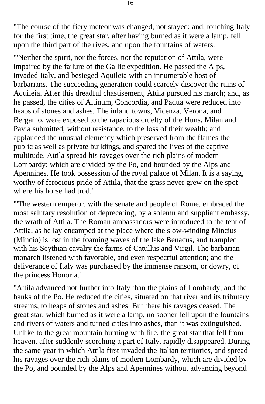"The course of the fiery meteor was changed, not stayed; and, touching Italy for the first time, the great star, after having burned as it were a lamp, fell upon the third part of the rives, and upon the fountains of waters.

"'Neither the spirit, nor the forces, nor the reputation of Attila, were impaired by the failure of the Gallic expedition. He passed the Alps, invaded Italy, and besieged Aquileia with an innumerable host of barbarians. The succeeding generation could scarcely discover the ruins of Aquileia. After this dreadful chastisement, Attila pursued his march; and, as he passed, the cities of Altinum, Concordia, and Padua were reduced into heaps of stones and ashes. The inland towns, Vicenza, Verona, and Bergamo, were exposed to the rapacious cruelty of the Huns. Milan and Pavia submitted, without resistance, to the loss of their wealth; and applauded the unusual clemency which preserved from the flames the public as well as private buildings, and spared the lives of the captive multitude. Attila spread his ravages over the rich plains of modern Lombardy; which are divided by the Po, and bounded by the Alps and Apennines. He took possession of the royal palace of Milan. It is a saying, worthy of ferocious pride of Attila, that the grass never grew on the spot where his horse had trod.'

"'The western emperor, with the senate and people of Rome, embraced the most salutary resolution of deprecating, by a solemn and suppliant embassy, the wrath of Attila. The Roman ambassadors were introduced to the tent of Attila, as he lay encamped at the place where the slow-winding Mincius (Mincio) is lost in the foaming waves of the lake Benacus, and trampled with his Scythian cavalry the farms of Catullus and Virgil. The barbarian monarch listened with favorable, and even respectful attention; and the deliverance of Italy was purchased by the immense ransom, or dowry, of the princess Honoria.'

"Attila advanced not further into Italy than the plains of Lombardy, and the banks of the Po. He reduced the cities, situated on that river and its tributary streams, to heaps of stones and ashes. But there his ravages ceased. The great star, which burned as it were a lamp, no sooner fell upon the fountains and rivers of waters and turned cities into ashes, than it was extinguished. Unlike to the great mountain burning with fire, the great star that fell from heaven, after suddenly scorching a part of Italy, rapidly disappeared. During the same year in which Attila first invaded the Italian territories, and spread his ravages over the rich plains of modern Lombardy, which are divided by the Po, and bounded by the Alps and Apennines without advancing beyond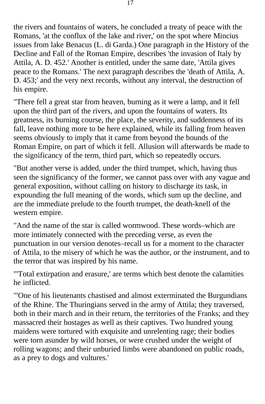the rivers and fountains of waters, he concluded a treaty of peace with the Romans, 'at the conflux of the lake and river,' on the spot where Mincius issues from lake Benacus (L. di Garda.) One paragraph in the History of the Decline and Fall of the Roman Empire, describes 'the invasion of Italy by Attila, A. D. 452.' Another is entitled, under the same date, 'Attila gives peace to the Romans.' The next paragraph describes the 'death of Attila, A. D. 453;' and the very next records, without any interval, the destruction of his empire.

"There fell a great star from heaven, burning as it were a lamp, and it fell upon the third part of the rivers, and upon the fountains of waters. Its greatness, its burning course, the place, the severity, and suddenness of its fall, leave nothing more to be here explained, while its falling from heaven seems obviously to imply that it came from beyond the bounds of the Roman Empire, on part of which it fell. Allusion will afterwards be made to the significancy of the term, third part, which so repeatedly occurs.

"But another verse is added, under the third trumpet, which, having thus seen the significancy of the former, we cannot pass over with any vague and general exposition, without calling on history to discharge its task, in expounding the full meaning of the words, which sum up the decline, and are the immediate prelude to the fourth trumpet, the death-knell of the western empire.

"And the name of the star is called wormwood. These words–which are more intimately connected with the preceding verse, as even the punctuation in our version denotes–recall us for a moment to the character of Attila, to the misery of which he was the author, or the instrument, and to the terror that was inspired by his name.

"'Total extirpation and erasure,' are terms which best denote the calamities he inflicted.

"'One of his lieutenants chastised and almost exterminated the Burgundians of the Rhine. The Thuringians served in the army of Attila; they traversed, both in their march and in their return, the territories of the Franks; and they massacred their hostages as well as their captives. Two hundred young maidens were tortured with exquisite and unrelenting rage; their bodies were torn asunder by wild horses, or were crushed under the weight of rolling wagons; and their unburied limbs were abandoned on public roads, as a prey to dogs and vultures.'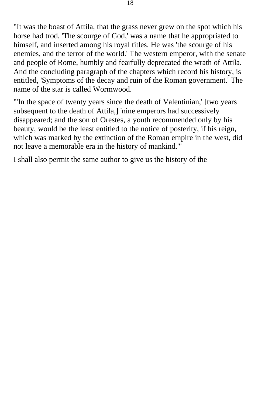"It was the boast of Attila, that the grass never grew on the spot which his horse had trod. 'The scourge of God,' was a name that he appropriated to himself, and inserted among his royal titles. He was 'the scourge of his enemies, and the terror of the world.' The western emperor, with the senate and people of Rome, humbly and fearfully deprecated the wrath of Attila. And the concluding paragraph of the chapters which record his history, is entitled, 'Symptoms of the decay and ruin of the Roman government.' The name of the star is called Wormwood.

"'In the space of twenty years since the death of Valentinian,' [two years subsequent to the death of Attila,] 'nine emperors had successively disappeared; and the son of Orestes, a youth recommended only by his beauty, would be the least entitled to the notice of posterity, if his reign, which was marked by the extinction of the Roman empire in the west, did not leave a memorable era in the history of mankind.'"

I shall also permit the same author to give us the history of the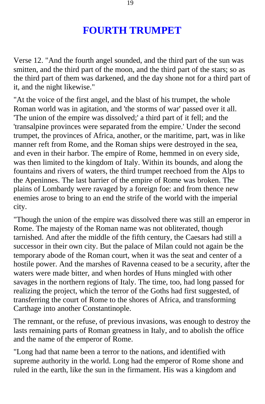#### **FOURTH TRUMPET**

<span id="page-18-0"></span>Verse 12. "And the fourth angel sounded, and the third part of the sun was smitten, and the third part of the moon, and the third part of the stars; so as the third part of them was darkened, and the day shone not for a third part of it, and the night likewise."

"At the voice of the first angel, and the blast of his trumpet, the whole Roman world was in agitation, and 'the storms of war' passed over it all. 'The union of the empire was dissolved;' a third part of it fell; and the 'transalpine provinces were separated from the empire.' Under the second trumpet, the provinces of Africa, another, or the maritime, part, was in like manner reft from Rome, and the Roman ships were destroyed in the sea, and even in their harbor. The empire of Rome, hemmed in on every side, was then limited to the kingdom of Italy. Within its bounds, and along the fountains and rivers of waters, the third trumpet reechoed from the Alps to the Apeninnes. The last barrier of the empire of Rome was broken. The plains of Lombardy were ravaged by a foreign foe: and from thence new enemies arose to bring to an end the strife of the world with the imperial city.

"Though the union of the empire was dissolved there was still an emperor in Rome. The majesty of the Roman name was not obliterated, though tarnished. And after the middle of the fifth century, the Caesars had still a successor in their own city. But the palace of Milan could not again be the temporary abode of the Roman court, when it was the seat and center of a hostile power. And the marshes of Ravenna ceased to be a security, after the waters were made bitter, and when hordes of Huns mingled with other savages in the northern regions of Italy. The time, too, had long passed for realizing the project, which the terror of the Goths had first suggested, of transferring the court of Rome to the shores of Africa, and transforming Carthage into another Constantinople.

The remnant, or the refuse, of previous invasions, was enough to destroy the lasts remaining parts of Roman greatness in Italy, and to abolish the office and the name of the emperor of Rome.

"Long had that name been a terror to the nations, and identified with supreme authority in the world. Long had the emperor of Rome shone and ruled in the earth, like the sun in the firmament. His was a kingdom and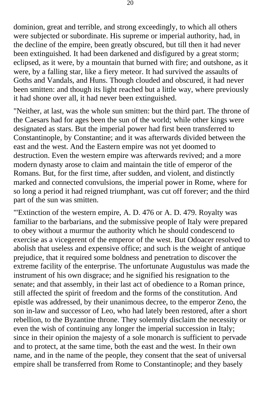dominion, great and terrible, and strong exceedingly, to which all others were subjected or subordinate. His supreme or imperial authority, had, in the decline of the empire, been greatly obscured, but till then it had never been extinguished. It had been darkened and disfigured by a great storm; eclipsed, as it were, by a mountain that burned with fire; and outshone, as it were, by a falling star, like a fiery meteor. It had survived the assaults of Goths and Vandals, and Huns. Though clouded and obscured, it had never been smitten: and though its light reached but a little way, where previously it had shone over all, it had never been extinguished.

"Neither, at last, was the whole sun smitten: but the third part. The throne of the Caesars had for ages been the sun of the world; while other kings were designated as stars. But the imperial power had first been transferred to Constantinople, by Constantine; and it was afterwards divided between the east and the west. And the Eastern empire was not yet doomed to destruction. Even the western empire was afterwards revived; and a more modern dynasty arose to claim and maintain the title of emperor of the Romans. But, for the first time, after sudden, and violent, and distinctly marked and connected convulsions, the imperial power in Rome, where for so long a period it had reigned triumphant, was cut off forever; and the third part of the sun was smitten.

"Extinction of the western empire, A. D. 476 or A. D. 479. Royalty was familiar to the barbarians, and the submissive people of Italy were prepared to obey without a murmur the authority which he should condescend to exercise as a vicegerent of the emperor of the west. But Odoacer resolved to abolish that useless and expensive office; and such is the weight of antique prejudice, that it required some boldness and penetration to discover the extreme facility of the enterprise. The unfortunate Augustulus was made the instrument of his own disgrace; and he signified his resignation to the senate; and that assembly, in their last act of obedience to a Roman prince, still affected the spirit of freedom and the forms of the constitution. And epistle was addressed, by their unanimous decree, to the emperor Zeno, the son in-law and successor of Leo, who had lately been restored, after a short rebellion, to the Byzantine throne. They solemnly disclaim the necessity or even the wish of continuing any longer the imperial succession in Italy; since in their opinion the majesty of a sole monarch is sufficient to pervade and to protect, at the same time, both the east and the west. In their own name, and in the name of the people, they consent that the seat of universal empire shall be transferred from Rome to Constantinople; and they basely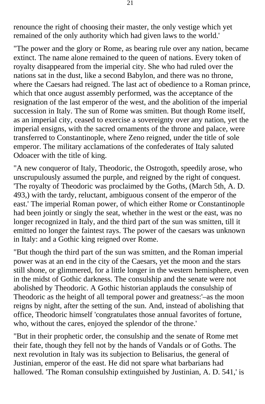renounce the right of choosing their master, the only vestige which yet remained of the only authority which had given laws to the world.'

"The power and the glory or Rome, as bearing rule over any nation, became extinct. The name alone remained to the queen of nations. Every token of royalty disappeared from the imperial city. She who had ruled over the nations sat in the dust, like a second Babylon, and there was no throne, where the Caesars had reigned. The last act of obedience to a Roman prince, which that once august assembly performed, was the acceptance of the resignation of the last emperor of the west, and the abolition of the imperial succession in Italy. The sun of Rome was smitten. But though Rome itself, as an imperial city, ceased to exercise a sovereignty over any nation, yet the imperial ensigns, with the sacred ornaments of the throne and palace, were transferred to Constantinople, where Zeno reigned, under the title of sole emperor. The military acclamations of the confederates of Italy saluted Odoacer with the title of king.

"A new conqueror of Italy, Theodoric, the Ostrogoth, speedily arose, who unscrupulously assumed the purple, and reigned by the right of conquest. 'The royalty of Theodoric was proclaimed by the Goths, (March 5th, A. D. 493,) with the tardy, reluctant, ambiguous consent of the emperor of the east.' The imperial Roman power, of which either Rome or Constantinople had been jointly or singly the seat, whether in the west or the east, was no longer recognized in Italy, and the third part of the sun was smitten, till it emitted no longer the faintest rays. The power of the caesars was unknown in Italy: and a Gothic king reigned over Rome.

"But though the third part of the sun was smitten, and the Roman imperial power was at an end in the city of the Caesars, yet the moon and the stars still shone, or glimmered, for a little longer in the western hemisphere, even in the midst of Gothic darkness. The consulship and the senate were not abolished by Theodoric. A Gothic historian applauds the consulship of Theodoric as the height of all temporal power and greatness:'–as the moon reigns by night, after the setting of the sun. And, instead of abolishing that office, Theodoric himself 'congratulates those annual favorites of fortune, who, without the cares, enjoyed the splendor of the throne.'

"But in their prophetic order, the consulship and the senate of Rome met their fate, though they fell not by the hands of Vandals or of Goths. The next revolution in Italy was its subjection to Belisarius, the general of Justinian, emperor of the east. He did not spare what barbarians had hallowed. 'The Roman consulship extinguished by Justinian, A. D. 541,' is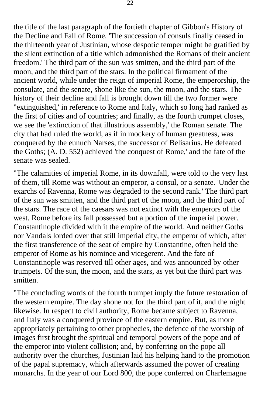the title of the last paragraph of the fortieth chapter of Gibbon's History of the Decline and Fall of Rome. 'The succession of consuls finally ceased in the thirteenth year of Justinian, whose despotic temper might be gratified by the silent extinction of a title which admonished the Romans of their ancient freedom.' The third part of the sun was smitten, and the third part of the moon, and the third part of the stars. In the political firmament of the ancient world, while under the reign of imperial Rome, the emperorship, the consulate, and the senate, shone like the sun, the moon, and the stars. The history of their decline and fall is brought down till the two former were "extinguished,' in reference to Rome and Italy, which so long had ranked as the first of cities and of countries; and finally, as the fourth trumpet closes, we see the 'extinction of that illustrious assembly,' the Roman senate. The city that had ruled the world, as if in mockery of human greatness, was conquered by the eunuch Narses, the successor of Belisarius. He defeated the Goths; (A. D. 552) achieved 'the conquest of Rome,' and the fate of the senate was sealed.

"The calamities of imperial Rome, in its downfall, were told to the very last of them, till Rome was without an emperor, a consul, or a senate. 'Under the exarchs of Ravenna, Rome was degraded to the second rank.' The third part of the sun was smitten, and the third part of the moon, and the third part of the stars. The race of the caesars was not extinct with the emperors of the west. Rome before its fall possessed but a portion of the imperial power. Constantinople divided with it the empire of the world. And neither Goths nor Vandals lorded over that still imperial city, the emperor of which, after the first transference of the seat of empire by Constantine, often held the emperor of Rome as his nominee and vicegerent. And the fate of Constantinople was reserved till other ages, and was announced by other trumpets. Of the sun, the moon, and the stars, as yet but the third part was smitten.

"The concluding words of the fourth trumpet imply the future restoration of the western empire. The day shone not for the third part of it, and the night likewise. In respect to civil authority, Rome became subject to Ravenna, and Italy was a conquered province of the eastern empire. But, as more appropriately pertaining to other prophecies, the defence of the worship of images first brought the spiritual and temporal powers of the pope and of the emperor into violent collision; and, by conferring on the pope all authority over the churches, Justinian laid his helping hand to the promotion of the papal supremacy, which afterwards assumed the power of creating monarchs. In the year of our Lord 800, the pope conferred on Charlemagne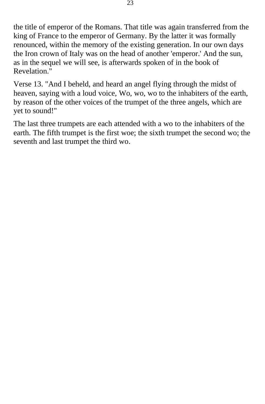the title of emperor of the Romans. That title was again transferred from the king of France to the emperor of Germany. By the latter it was formally renounced, within the memory of the existing generation. In our own days the Iron crown of Italy was on the head of another 'emperor.' And the sun, as in the sequel we will see, is afterwards spoken of in the book of Revelation."

Verse 13. "And I beheld, and heard an angel flying through the midst of heaven, saying with a loud voice, Wo, wo, wo to the inhabiters of the earth, by reason of the other voices of the trumpet of the three angels, which are yet to sound!"

The last three trumpets are each attended with a wo to the inhabiters of the earth. The fifth trumpet is the first woe; the sixth trumpet the second wo; the seventh and last trumpet the third wo.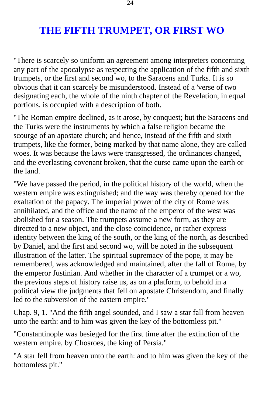#### **THE FIFTH TRUMPET, OR FIRST WO**

<span id="page-23-0"></span>"There is scarcely so uniform an agreement among interpreters concerning any part of the apocalypse as respecting the application of the fifth and sixth trumpets, or the first and second wo, to the Saracens and Turks. It is so obvious that it can scarcely be misunderstood. Instead of a 'verse of two designating each, the whole of the ninth chapter of the Revelation, in equal portions, is occupied with a description of both.

"The Roman empire declined, as it arose, by conquest; but the Saracens and the Turks were the instruments by which a false religion became the scourge of an apostate church; and hence, instead of the fifth and sixth trumpets, like the former, being marked by that name alone, they are called woes. It was because the laws were transgressed, the ordinances changed, and the everlasting covenant broken, that the curse came upon the earth or the land.

"We have passed the period, in the political history of the world, when the western empire was extinguished; and the way was thereby opened for the exaltation of the papacy. The imperial power of the city of Rome was annihilated, and the office and the name of the emperor of the west was abolished for a season. The trumpets assume a new form, as they are directed to a new object, and the close coincidence, or rather express identity between the king of the south, or the king of the north, as described by Daniel, and the first and second wo, will be noted in the subsequent illustration of the latter. The spiritual supremacy of the pope, it may be remembered, was acknowledged and maintained, after the fall of Rome, by the emperor Justinian. And whether in the character of a trumpet or a wo, the previous steps of history raise us, as on a platform, to behold in a political view the judgments that fell on apostate Christendom, and finally led to the subversion of the eastern empire."

Chap. 9, 1. "And the fifth angel sounded, and I saw a star fall from heaven unto the earth: and to him was given the key of the bottomless pit."

"Constantinople was besieged for the first time after the extinction of the western empire, by Chosroes, the king of Persia."

"A star fell from heaven unto the earth: and to him was given the key of the bottomless pit."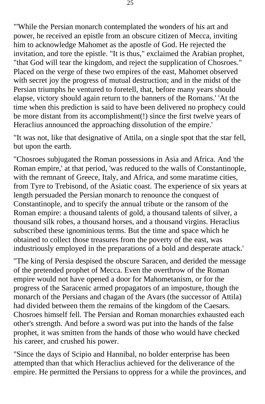"'While the Persian monarch contemplated the wonders of his art and power, he received an epistle from an obscure citizen of Mecca, inviting him to acknowledge Mahomet as the apostle of God. He rejected the invitation, and tore the epistle. "It is thus," exclaimed the Arabian prophet, "that God will tear the kingdom, and reject the supplication of Chosroes." Placed on the verge of these two empires of the east, Mahomet observed with secret joy the progress of mutual destruction; and in the midst of the Persian triumphs he ventured to foretell, that, before many years should elapse, victory should again return to the banners of the Romans.' 'At the time when this prediction is said to have been delivered no prophecy could be more distant from its accomplishment(!) since the first twelve years of Heraclius announced the approaching dissolution of the empire.'

"It was not, like that designative of Attila, on a single spot that the star fell, but upon the earth.

"Chosroes subjugated the Roman possessions in Asia and Africa. And 'the Roman empire,' at that period, 'was reduced to the walls of Constantinople, with the remnant of Greece, Italy, and Africa, and some maratime cities, from Tyre to Trebisond, of the Asiatic coast. The experience of six years at length persuaded the Persian monarch to renounce the conquest of Constantinople, and to specify the annual tribute or the ransom of the Roman empire: a thousand talents of gold, a thousand talents of silver, a thousand silk robes, a thousand horses, and a thousand virgins. Heraclius subscribed these ignominious terms. But the time and space which he obtained to collect those treasures from the poverty of the east, was industriously employed in the preparations of a bold and desperate attack.'

"The king of Persia despised the obscure Saracen, and derided the message of the pretended prophet of Mecca. Even the overthrow of the Roman empire would not have opened a door for Mahometanism, or for the progress of the Saracenic armed propagators of an imposture, though the monarch of the Persians and chagan of the Avars (the successor of Attila) had divided between them the remains of the kingdom of the Caesars. Chosroes himself fell. The Persian and Roman monarchies exhausted each other's strength. And before a sword was put into the hands of the false prophet, it was smitten from the hands of those who would have checked his career, and crushed his power.

"Since the days of Scipio and Hannibal, no bolder enterprise has been attempted than that which Heraclius achieved for the deliverance of the empire. He permitted the Persians to oppress for a while the provinces, and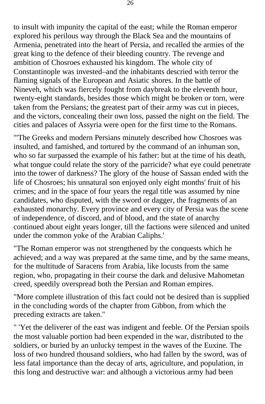to insult with impunity the capital of the east; while the Roman emperor explored his perilous way through the Black Sea and the mountains of Armenia, penetrated into the heart of Persia, and recalled the armies of the great king to the defence of their bleeding country. The revenge and ambition of Chosroes exhausted his kingdom. The whole city of Constantinople was invested–and the inhabitants descried with terror the flaming signals of the European and Asiatic shores. In the battle of Nineveh, which was fiercely fought from daybreak to the eleventh hour, twenty-eight standards, besides those which might be broken or torn, were taken from the Persians; the greatest part of their army was cut in pieces, and the victors, concealing their own loss, passed the night on the field. The cities and palaces of Assyria were open for the first time to the Romans.

"'The Greeks and modern Persians minutely described how Chosroes was insulted, and famished, and tortured by the command of an inhuman son, who so far surpassed the example of his father: but at the time of his death, what tongue could relate the story of the parricide? what eye could penetrate into the tower of darkness? The glory of the house of Sassan ended with the life of Chosroes; his unnatural son enjoyed only eight months' fruit of his crimes; and in the space of four years the regal title was assumed by nine candidates, who disputed, with the sword or dagger, the fragments of an exhausted monarchy. Every province and every city of Persia was the scene of independence, of discord, and of blood, and the state of anarchy continued about eight years longer, till the factions were silenced and united under the common yoke of the Arabian Caliphs.'

"The Roman emperor was not strengthened by the conquests which he achieved; and a way was prepared at the same time, and by the same means, for the multitude of Saracens from Arabia, like locusts from the same region, who, propagating in their course the dark and delusive Mahometan creed, speedily overspread both the Persian and Roman empires.

"More complete illustration of this fact could not be desired than is supplied in the concluding words of the chapter from Gibbon, from which the preceding extracts are taken."

" 'Yet the deliverer of the east was indigent and feeble. Of the Persian spoils the most valuable portion had been expended in the war, distributed to the soldiers, or buried by an unlucky tempest in the waves of the Euxine. The loss of two hundred thousand soldiers, who had fallen by the sword, was of less fatal importance than the decay of arts, agriculture, and population, in this long and destructive war: and although a victorious army had been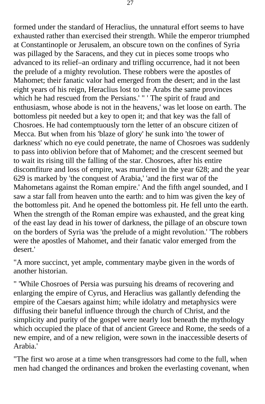formed under the standard of Heraclius, the unnatural effort seems to have exhausted rather than exercised their strength. While the emperor triumphed at Constantinople or Jerusalem, an obscure town on the confines of Syria was pillaged by the Saracens, and they cut in pieces some troops who advanced to its relief–an ordinary and trifling occurrence, had it not been the prelude of a mighty revolution. These robbers were the apostles of Mahomet; their fanatic valor had emerged from the desert; and in the last eight years of his reign, Heraclius lost to the Arabs the same provinces which he had rescued from the Persians.' " ' The spirit of fraud and enthusiasm, whose abode is not in the heavens,' was let loose on earth. The bottomless pit needed but a key to open it; and that key was the fall of Chosroes. He had contemptuously torn the letter of an obscure citizen of Mecca. But when from his 'blaze of glory' he sunk into 'the tower of darkness' which no eye could penetrate, the name of Chosroes was suddenly to pass into oblivion before that of Mahomet; and the crescent seemed but to wait its rising till the falling of the star. Chosroes, after his entire discomfiture and loss of empire, was murdered in the year 628; and the year 629 is marked by 'the conquest of Arabia,' 'and the first war of the Mahometans against the Roman empire.' And the fifth angel sounded, and I saw a star fall from heaven unto the earth: and to him was given the key of the bottomless pit. And he opened the bottomless pit. He fell unto the earth. When the strength of the Roman empire was exhausted, and the great king of the east lay dead in his tower of darkness, the pillage of an obscure town on the borders of Syria was 'the prelude of a might revolution.' 'The robbers were the apostles of Mahomet, and their fanatic valor emerged from the desert.'

"A more succinct, yet ample, commentary maybe given in the words of another historian.

" 'While Chosroes of Persia was pursuing his dreams of recovering and enlarging the empire of Cyrus, and Heraclius was gallantly defending the empire of the Caesars against him; while idolatry and metaphysics were diffusing their baneful influence through the church of Christ, and the simplicity and purity of the gospel were nearly lost beneath the mythology which occupied the place of that of ancient Greece and Rome, the seeds of a new empire, and of a new religion, were sown in the inaccessible deserts of Arabia.'

"The first wo arose at a time when transgressors had come to the full, when men had changed the ordinances and broken the everlasting covenant, when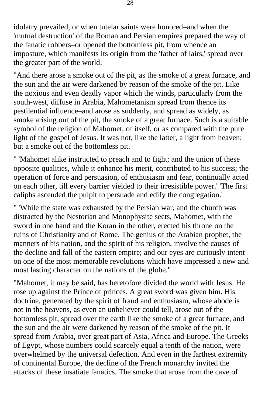idolatry prevailed, or when tutelar saints were honored–and when the 'mutual destruction' of the Roman and Persian empires prepared the way of the fanatic robbers–or opened the bottomless pit, from whence an imposture, which manifests its origin from the 'father of lairs,' spread over the greater part of the world.

"And there arose a smoke out of the pit, as the smoke of a great furnace, and the sun and the air were darkened by reason of the smoke of the pit. Like the noxious and even deadly vapor which the winds, particularly from the south-west, diffuse in Arabia, Mahometanism spread from thence its pestilential influence–and arose as suddenly, and spread as widely, as smoke arising out of the pit, the smoke of a great furnace. Such is a suitable symbol of the religion of Mahomet, of itself, or as compared with the pure light of the gospel of Jesus. It was not, like the latter, a light from heaven; but a smoke out of the bottomless pit.

" 'Mahomet alike instructed to preach and to fight; and the union of these opposite qualities, while it enhance his merit, contributed to his success; the operation of force and persuasion, of enthusiasm and fear, continually acted on each other, till every barrier yielded to their irresistible power.' 'The first caliphs ascended the pulpit to persuade and edify the congregation.'

" 'While the state was exhausted by the Persian war, and the church was distracted by the Nestorian and Monophysite sects, Mahomet, with the sword in one hand and the Koran in the other, erected his throne on the ruins of Christianity and of Rome. The genius of the Arabian prophet, the manners of his nation, and the spirit of his religion, involve the causes of the decline and fall of the eastern empire; and our eyes are curiously intent on one of the most memorable revolutions which have impressed a new and most lasting character on the nations of the globe."

"Mahomet, it may be said, has heretofore divided the world with Jesus. He rose up against the Prince of princes. A great sword was given him. His doctrine, generated by the spirit of fraud and enthusiasm, whose abode is not in the heavens, as even an unbeliever could tell, arose out of the bottomless pit, spread over the earth like the smoke of a great furnace, and the sun and the air were darkened by reason of the smoke of the pit. It spread from Arabia, over great part of Asia, Africa and Europe. The Greeks of Egypt, whose numbers could scarcely equal a tenth of the nation, were overwhelmed by the universal defection. And even in the farthest extremity of continental Europe, the decline of the French monarchy invited the attacks of these insatiate fanatics. The smoke that arose from the cave of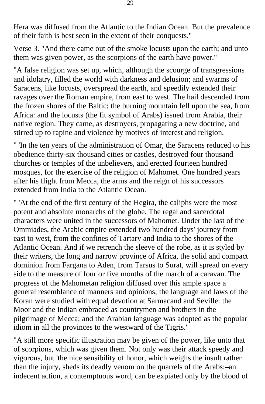Hera was diffused from the Atlantic to the Indian Ocean. But the prevalence of their faith is best seen in the extent of their conquests."

Verse 3. "And there came out of the smoke locusts upon the earth; and unto them was given power, as the scorpions of the earth have power."

"A false religion was set up, which, although the scourge of transgressions and idolatry, filled the world with darkness and delusion; and swarms of Saracens, like locusts, overspread the earth, and speedily extended their ravages over the Roman empire, from east to west. The hail descended from the frozen shores of the Baltic; the burning mountain fell upon the sea, from Africa: and the locusts (the fit symbol of Arabs) issued from Arabia, their native region. They came, as destroyers, propagating a new doctrine, and stirred up to rapine and violence by motives of interest and religion.

" 'In the ten years of the administration of Omar, the Saracens reduced to his obedience thirty-six thousand cities or castles, destroyed four thousand churches or temples of the unbelievers, and erected fourteen hundred mosques, for the exercise of the religion of Mahomet. One hundred years after his flight from Mecca, the arms and the reign of his successors extended from India to the Atlantic Ocean.

" 'At the end of the first century of the Hegira, the caliphs were the most potent and absolute monarchs of the globe. The regal and sacerdotal characters were united in the successors of Mahomet. Under the last of the Ommiades, the Arabic empire extended two hundred days' journey from east to west, from the confines of Tartary and India to the shores of the Atlantic Ocean. And if we retrench the sleeve of the robe, as it is styled by their writers, the long and narrow province of Africa, the solid and compact dominion from Fargana to Aden, from Tarsus to Surat, will spread on every side to the measure of four or five months of the march of a caravan. The progress of the Mahometan religion diffused over this ample space a general resemblance of manners and opinions; the language and laws of the Koran were studied with equal devotion at Sarmacand and Seville: the Moor and the Indian embraced as countrymen and brothers in the pilgrimage of Mecca; and the Arabian language was adopted as the popular idiom in all the provinces to the westward of the Tigris.'

"A still more specific illustration may be given of the power, like unto that of scorpions, which was given them. Not only was their attack speedy and vigorous, but 'the nice sensibility of honor, which weighs the insult rather than the injury, sheds its deadly venom on the quarrels of the Arabs:–an indecent action, a contemptuous word, can be expiated only by the blood of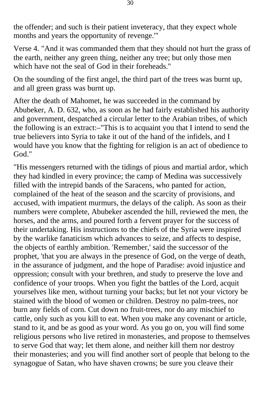the offender; and such is their patient inveteracy, that they expect whole months and years the opportunity of revenge.'"

Verse 4. "And it was commanded them that they should not hurt the grass of the earth, neither any green thing, neither any tree; but only those men which have not the seal of God in their foreheads."

On the sounding of the first angel, the third part of the trees was burnt up, and all green grass was burnt up.

After the death of Mahomet, he was succeeded in the command by Abubeker, A. D. 632, who, as soon as he had fairly established his authority and government, despatched a circular letter to the Arabian tribes, of which the following is an extract:–"This is to acquaint you that I intend to send the true believers into Syria to take it out of the hand of the infidels, and I would have you know that the fighting for religion is an act of obedience to God."

"His messengers returned with the tidings of pious and martial ardor, which they had kindled in every province; the camp of Medina was successively filled with the intrepid bands of the Saracens, who panted for action, complained of the heat of the season and the scarcity of provisions, and accused, with impatient murmurs, the delays of the caliph. As soon as their numbers were complete, Abubeker ascended the hill, reviewed the men, the horses, and the arms, and poured forth a fervent prayer for the success of their undertaking. His instructions to the chiefs of the Syria were inspired by the warlike fanaticism which advances to seize, and affects to despise, the objects of earthly ambition. 'Remember,' said the successor of the prophet, 'that you are always in the presence of God, on the verge of death, in the assurance of judgment, and the hope of Paradise: avoid injustice and oppression; consult with your brethren, and study to preserve the love and confidence of your troops. When you fight the battles of the Lord, acquit yourselves like men, without turning your backs; but let not your victory be stained with the blood of women or children. Destroy no palm-trees, nor burn any fields of corn. Cut down no fruit-trees, nor do any mischief to cattle, only such as you kill to eat. When you make any covenant or article, stand to it, and be as good as your word. As you go on, you will find some religious persons who live retired in monasteries, and propose to themselves to serve God that way; let them alone, and neither kill them nor destroy their monasteries; and you will find another sort of people that belong to the synagogue of Satan, who have shaven crowns; be sure you cleave their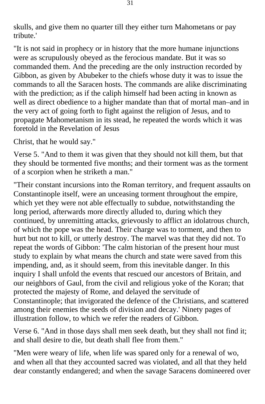skulls, and give them no quarter till they either turn Mahometans or pay tribute.'

"It is not said in prophecy or in history that the more humane injunctions were as scrupulously obeyed as the ferocious mandate. But it was so commanded them. And the preceding are the only instruction recorded by Gibbon, as given by Abubeker to the chiefs whose duty it was to issue the commands to all the Saracen hosts. The commands are alike discriminating with the prediction; as if the caliph himself had been acting in known as well as direct obedience to a higher mandate than that of mortal man–and in the very act of going forth to fight against the religion of Jesus, and to propagate Mahometanism in its stead, he repeated the words which it was foretold in the Revelation of Jesus

Christ, that he would say."

Verse 5. "And to them it was given that they should not kill them, but that they should be tormented five months; and their torment was as the torment of a scorpion when he striketh a man."

"Their constant incursions into the Roman territory, and frequent assaults on Constantinople itself, were an unceasing torment throughout the empire, which yet they were not able effectually to subdue, notwithstanding the long period, afterwards more directly alluded to, during which they continued, by unremitting attacks, grievously to afflict an idolatrous church, of which the pope was the head. Their charge was to torment, and then to hurt but not to kill, or utterly destroy. The marvel was that they did not. To repeat the words of Gibbon: 'The calm historian of the present hour must study to explain by what means the church and state were saved from this impending, and, as it should seem, from this inevitable danger. In this inquiry I shall unfold the events that rescued our ancestors of Britain, and our neighbors of Gaul, from the civil and religious yoke of the Koran; that protected the majesty of Rome, and delayed the servitude of Constantinople; that invigorated the defence of the Christians, and scattered among their enemies the seeds of division and decay.' Ninety pages of illustration follow, to which we refer the readers of Gibbon.

Verse 6. "And in those days shall men seek death, but they shall not find it; and shall desire to die, but death shall flee from them."

"Men were weary of life, when life was spared only for a renewal of wo, and when all that they accounted sacred was violated, and all that they held dear constantly endangered; and when the savage Saracens domineered over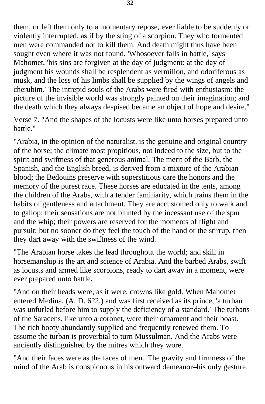them, or left them only to a momentary repose, ever liable to be suddenly or violently interrupted, as if by the sting of a scorpion. They who tormented men were commanded not to kill them. And death might thus have been sought even where it was not found. 'Whosoever falls in battle,' says Mahomet, 'his sins are forgiven at the day of judgment: at the day of judgment his wounds shall be resplendent as vermilion, and odoriferous as musk, and the loss of his limbs shall be supplied by the wings of angels and cherubim.' The intrepid souls of the Arabs were fired with enthusiasm: the picture of the invisible world was strongly painted on their imagination; and the death which they always despised became an object of hope and desire."

Verse 7. "And the shapes of the locusts were like unto horses prepared unto battle."

"Arabia, in the opinion of the naturalist, is the genuine and original country of the horse; the climate most propitious, not indeed to the size, but to the spirit and swiftness of that generous animal. The merit of the Barb, the Spanish, and the English breed, is derived from a mixture of the Arabian blood; the Bedouins preserve with superstitious care the honors and the memory of the purest race. These horses are educated in the tents, among the children of the Arabs, with a tender familiarity, which trains them in the habits of gentleness and attachment. They are accustomed only to walk and to gallop: their sensations are not blunted by the incessant use of the spur and the whip; their powers are reserved for the moments of flight and pursuit; but no sooner do they feel the touch of the hand or the stirrup, then they dart away with the swiftness of the wind.

"The Arabian horse takes the lead throughout the world; and skill in horsemanship is the art and science of Arabia. And the barbed Arabs, swift as locusts and armed like scorpions, ready to dart away in a moment, were ever prepared unto battle.

"And on their heads were, as it were, crowns like gold. When Mahomet entered Medina, (A. D. 622,) and was first received as its prince, 'a turban was unfurled before him to supply the deficiency of a standard.' The turbans of the Saracens, like unto a coronet, were their ornament and their boast. The rich booty abundantly supplied and frequently renewed them. To assume the turban is proverbial to turn Mussulman. And the Arabs were anciently distinguished by the mitres which they wore.

"And their faces were as the faces of men. 'The gravity and firmness of the mind of the Arab is conspicuous in his outward demeanor–his only gesture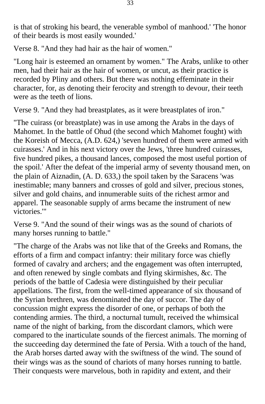is that of stroking his beard, the venerable symbol of manhood.' 'The honor of their beards is most easily wounded.'

Verse 8. "And they had hair as the hair of women."

"Long hair is esteemed an ornament by women." The Arabs, unlike to other men, had their hair as the hair of women, or uncut, as their practice is recorded by Pliny and others. But there was nothing effeminate in their character, for, as denoting their ferocity and strength to devour, their teeth were as the teeth of lions.

Verse 9. "And they had breastplates, as it were breastplates of iron."

"The cuirass (or breastplate) was in use among the Arabs in the days of Mahomet. In the battle of Ohud (the second which Mahomet fought) with the Koreish of Mecca, (A.D. 624,) 'seven hundred of them were armed with cuirasses.' And in his next victory over the Jews, 'three hundred cuirasses, five hundred pikes, a thousand lances, composed the most useful portion of the spoil.' After the defeat of the imperial army of seventy thousand men, on the plain of Aiznadin, (A. D. 633,) the spoil taken by the Saracens 'was inestimable; many banners and crosses of gold and silver, precious stones, silver and gold chains, and innumerable suits of the richest armor and apparel. The seasonable supply of arms became the instrument of new victories.'"

Verse 9. "And the sound of their wings was as the sound of chariots of many horses running to battle."

"The charge of the Arabs was not like that of the Greeks and Romans, the efforts of a firm and compact infantry: their military force was chiefly formed of cavalry and archers; and the engagement was often interrupted, and often renewed by single combats and flying skirmishes, &c. The periods of the battle of Cadesia were distinguished by their peculiar appellations. The first, from the well-timed appearance of six thousand of the Syrian brethren, was denominated the day of succor. The day of concussion might express the disorder of one, or perhaps of both the contending armies. The third, a nocturnal tumult, received the whimsical name of the night of barking, from the discordant clamors, which were compared to the inarticulate sounds of the fiercest animals. The morning of the succeeding day determined the fate of Persia. With a touch of the hand, the Arab horses darted away with the swiftness of the wind. The sound of their wings was as the sound of chariots of many horses running to battle. Their conquests were marvelous, both in rapidity and extent, and their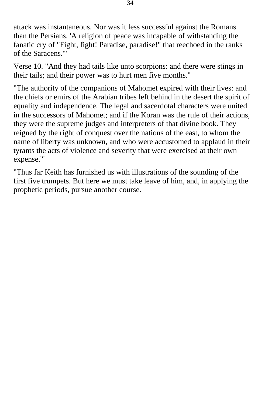attack was instantaneous. Nor was it less successful against the Romans than the Persians. 'A religion of peace was incapable of withstanding the fanatic cry of "Fight, fight! Paradise, paradise!" that reechoed in the ranks of the Saracens.'"

Verse 10. "And they had tails like unto scorpions: and there were stings in their tails; and their power was to hurt men five months."

"The authority of the companions of Mahomet expired with their lives: and the chiefs or emirs of the Arabian tribes left behind in the desert the spirit of equality and independence. The legal and sacerdotal characters were united in the successors of Mahomet; and if the Koran was the rule of their actions, they were the supreme judges and interpreters of that divine book. They reigned by the right of conquest over the nations of the east, to whom the name of liberty was unknown, and who were accustomed to applaud in their tyrants the acts of violence and severity that were exercised at their own expense.'"

"Thus far Keith has furnished us with illustrations of the sounding of the first five trumpets. But here we must take leave of him, and, in applying the prophetic periods, pursue another course.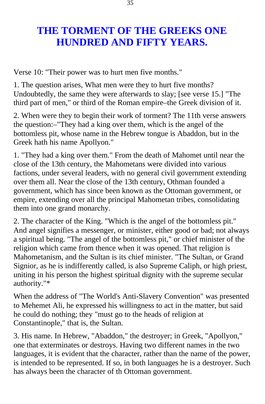#### **THE TORMENT OF THE GREEKS ONE HUNDRED AND FIFTY YEARS.**

<span id="page-34-0"></span>Verse 10: "Their power was to hurt men five months."

1. The question arises, What men were they to hurt five months? Undoubtedly, the same they were afterwards to slay; [see verse 15.] "The third part of men," or third of the Roman empire–the Greek division of it.

2. When were they to begin their work of torment? The 11th verse answers the question:–"They had a king over them, which is the angel of the bottomless pit, whose name in the Hebrew tongue is Abaddon, but in the Greek hath his name Apollyon."

1. "They had a king over them." From the death of Mahomet until near the close of the 13th century, the Mahometans were divided into various factions, under several leaders, with no general civil government extending over them all. Near the close of the 13th century, Othman founded a government, which has since been known as the Ottoman government, or empire, extending over all the principal Mahometan tribes, consolidating them into one grand monarchy.

2. The character of the King. "Which is the angel of the bottomless pit." And angel signifies a messenger, or minister, either good or bad; not always a spiritual being. "The angel of the bottomless pit," or chief minister of the religion which came from thence when it was opened. That religion is Mahometanism, and the Sultan is its chief minister. "The Sultan, or Grand Signior, as he is indifferently called, is also Supreme Caliph, or high priest, uniting in his person the highest spiritual dignity with the supreme secular authority."\*

When the address of "The World's Anti-Slavery Convention" was presented to Mehemet Ali, he expressed his willingness to act in the matter, but said he could do nothing; they "must go to the heads of religion at Constantinople," that is, the Sultan.

3. His name. In Hebrew, "Abaddon," the destroyer; in Greek, "Apollyon," one that exterminates or destroys. Having two different names in the two languages, it is evident that the character, rather than the name of the power, is intended to be represented. If so, in both languages he is a destroyer. Such has always been the character of th Ottoman government.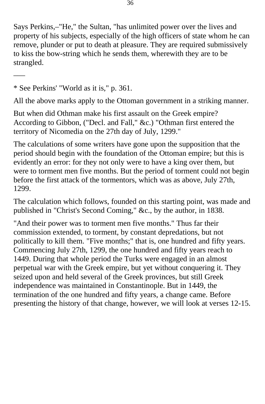Says Perkins,–"He," the Sultan, "has unlimited power over the lives and property of his subjects, especially of the high officers of state whom he can remove, plunder or put to death at pleasure. They are required submissively to kiss the bow-string which he sends them, wherewith they are to be strangled.

\* See Perkins' "World as it is," p. 361.

–––

All the above marks apply to the Ottoman government in a striking manner.

But when did Othman make his first assault on the Greek empire? According to Gibbon, ("Decl. and Fall," &c.) "Othman first entered the territory of Nicomedia on the 27th day of July, 1299."

The calculations of some writers have gone upon the supposition that the period should begin with the foundation of the Ottoman empire; but this is evidently an error: for they not only were to have a king over them, but were to torment men five months. But the period of torment could not begin before the first attack of the tormentors, which was as above, July 27th, 1299.

The calculation which follows, founded on this starting point, was made and published in "Christ's Second Coming," &c., by the author, in 1838.

"And their power was to torment men five months." Thus far their commission extended, to torment, by constant depredations, but not politically to kill them. "Five months;" that is, one hundred and fifty years. Commencing July 27th, 1299, the one hundred and fifty years reach to 1449. During that whole period the Turks were engaged in an almost perpetual war with the Greek empire, but yet without conquering it. They seized upon and held several of the Greek provinces, but still Greek independence was maintained in Constantinople. But in 1449, the termination of the one hundred and fifty years, a change came. Before presenting the history of that change, however, we will look at verses 12-15.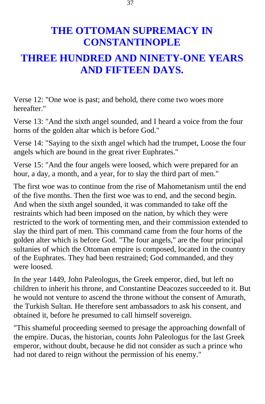# **THE OTTOMAN SUPREMACY IN CONSTANTINOPLE**

#### <span id="page-36-0"></span>**THREE HUNDRED AND NINETY-ONE YEARS AND FIFTEEN DAYS.**

Verse 12: "One woe is past; and behold, there come two woes more hereafter."

Verse 13: "And the sixth angel sounded, and I heard a voice from the four horns of the golden altar which is before God."

Verse 14: "Saying to the sixth angel which had the trumpet, Loose the four angels which are bound in the great river Euphrates."

Verse 15: "And the four angels were loosed, which were prepared for an hour, a day, a month, and a year, for to slay the third part of men."

The first woe was to continue from the rise of Mahometanism until the end of the five months. Then the first woe was to end, and the second begin. And when the sixth angel sounded, it was commanded to take off the restraints which had been imposed on the nation, by which they were restricted to the work of tormenting men, and their commission extended to slay the third part of men. This command came from the four horns of the golden alter which is before God. "The four angels," are the four principal sultanies of which the Ottoman empire is composed, located in the country of the Euphrates. They had been restrained; God commanded, and they were loosed.

In the year 1449, John Paleologus, the Greek emperor, died, but left no children to inherit his throne, and Constantine Deacozes succeeded to it. But he would not venture to ascend the throne without the consent of Amurath, the Turkish Sultan. He therefore sent ambassadors to ask his consent, and obtained it, before he presumed to call himself sovereign.

"This shameful proceeding seemed to presage the approaching downfall of the empire. Ducas, the historian, counts John Paleologus for the last Greek emperor, without doubt, because he did not consider as such a prince who had not dared to reign without the permission of his enemy."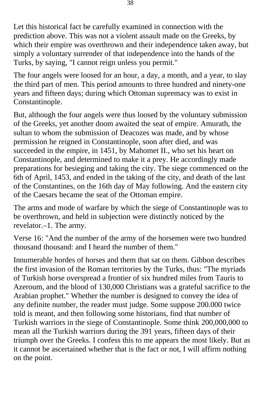Let this historical fact be carefully examined in connection with the prediction above. This was not a violent assault made on the Greeks, by which their empire was overthrown and their independence taken away, but simply a voluntary surrender of that independence into the hands of the Turks, by saying, "I cannot reign unless you permit."

The four angels were loosed for an hour, a day, a month, and a year, to slay the third part of men. This period amounts to three hundred and ninety-one years and fifteen days; during which Ottoman supremacy was to exist in Constantinople.

But, although the four angels were thus loosed by the voluntary submission of the Greeks, yet another doom awaited the seat of empire. Amurath, the sultan to whom the submission of Deacozes was made, and by whose permission he reigned in Constantinople, soon after died, and was succeeded in the empire, in 1451, by Mahomet II., who set his heart on Constantinople, and determined to make it a prey. He accordingly made preparations for besieging and taking the city. The siege commenced on the 6th of April, 1453, and ended in the taking of the city, and death of the last of the Constantines, on the 16th day of May following. And the eastern city of the Caesars became the seat of the Ottoman empire.

The arms and mode of warfare by which the siege of Constantinople was to be overthrown, and held in subjection were distinctly noticed by the revelator.–1. The army.

Verse 16: "And the number of the army of the horsemen were two hundred thousand thousand: and I heard the number of them."

Innumerable hordes of horses and them that sat on them. Gibbon describes the first invasion of the Roman territories by the Turks, thus: "The myriads of Turkish horse overspread a frontier of six hundred miles from Tauris to Azeroum, and the blood of 130,000 Christians was a grateful sacrifice to the Arabian prophet." Whether the number is designed to convey the idea of any definite number, the reader must judge. Some suppose 200.000 twice told is meant, and then following some historians, find that number of Turkish warriors in the siege of Constantinople. Some think 200,000,000 to mean all the Turkish warriors during the 391 years, fifteen days of their triumph over the Greeks. I confess this to me appears the most likely. But as it cannot be ascertained whether that is the fact or not, I will affirm nothing on the point.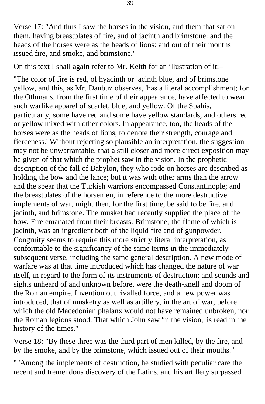Verse 17: "And thus I saw the horses in the vision, and them that sat on them, having breastplates of fire, and of jacinth and brimstone: and the heads of the horses were as the heads of lions: and out of their mouths issued fire, and smoke, and brimstone."

On this text I shall again refer to Mr. Keith for an illustration of it:–

"The color of fire is red, of hyacinth or jacinth blue, and of brimstone yellow, and this, as Mr. Daubuz observes, 'has a literal accomplishment; for the Othmans, from the first time of their appearance, have affected to wear such warlike apparel of scarlet, blue, and yellow. Of the Spahis, particularly, some have red and some have yellow standards, and others red or yellow mixed with other colors. In appearance, too, the heads of the horses were as the heads of lions, to denote their strength, courage and fierceness.' Without rejecting so plausible an interpretation, the suggestion may not be unwarrantable, that a still closer and more direct exposition may be given of that which the prophet saw in the vision. In the prophetic description of the fall of Babylon, they who rode on horses are described as holding the bow and the lance; but it was with other arms than the arrow and the spear that the Turkish warriors encompassed Constantinople; and the breastplates of the horsemen, in reference to the more destructive implements of war, might then, for the first time, be said to be fire, and jacinth, and brimstone. The musket had recently supplied the place of the bow. Fire emanated from their breasts. Brimstone, the flame of which is jacinth, was an ingredient both of the liquid fire and of gunpowder. Congruity seems to require this more strictly literal interpretation, as conformable to the significancy of the same terms in the immediately subsequent verse, including the same general description. A new mode of warfare was at that time introduced which has changed the nature of war itself, in regard to the form of its instruments of destruction; and sounds and sights unheard of and unknown before, were the death-knell and doom of the Roman empire. Invention out rivalled force, and a new power was introduced, that of musketry as well as artillery, in the art of war, before which the old Macedonian phalanx would not have remained unbroken, nor the Roman legions stood. That which John saw 'in the vision,' is read in the history of the times."

Verse 18: "By these three was the third part of men killed, by the fire, and by the smoke, and by the brimstone, which issued out of their mouths."

" 'Among the implements of destruction, he studied with peculiar care the recent and tremendous discovery of the Latins, and his artillery surpassed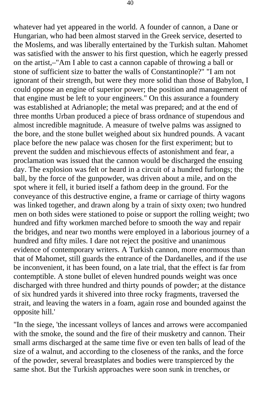whatever had yet appeared in the world. A founder of cannon, a Dane or Hungarian, who had been almost starved in the Greek service, deserted to the Moslems, and was liberally entertained by the Turkish sultan. Mahomet was satisfied with the answer to his first question, which he eagerly pressed on the artist,–"Am I able to cast a cannon capable of throwing a ball or stone of sufficient size to batter the walls of Constantinople?" "I am not ignorant of their strength, but were they more solid than those of Babylon, I could oppose an engine of superior power; the position and management of that engine must be left to your engineers." On this assurance a foundery was established at Adrianople; the metal was prepared; and at the end of three months Urban produced a piece of brass ordnance of stupendous and almost incredible magnitude. A measure of twelve palms was assigned to the bore, and the stone bullet weighed about six hundred pounds. A vacant place before the new palace was chosen for the first experiment; but to prevent the sudden and mischievous effects of astonishment and fear, a proclamation was issued that the cannon would be discharged the ensuing day. The explosion was felt or heard in a circuit of a hundred furlongs; the ball, by the force of the gunpowder, was driven about a mile, and on the spot where it fell, it buried itself a fathom deep in the ground. For the conveyance of this destructive engine, a frame or carriage of thirty wagons was linked together, and drawn along by a train of sixty oxen; two hundred men on both sides were stationed to poise or support the rolling weight; two hundred and fifty workmen marched before to smooth the way and repair the bridges, and near two months were employed in a laborious journey of a hundred and fifty miles. I dare not reject the positive and unanimous evidence of contemporary writers. A Turkish cannon, more enormous than that of Mahomet, still guards the entrance of the Dardanelles, and if the use be inconvenient, it has been found, on a late trial, that the effect is far from contemptible. A stone bullet of eleven hundred pounds weight was once discharged with three hundred and thirty pounds of powder; at the distance of six hundred yards it shivered into three rocky fragments, traversed the strait, and leaving the waters in a foam, again rose and bounded against the opposite hill.'

"In the siege, 'the incessant volleys of lances and arrows were accompanied with the smoke, the sound and the fire of their musketry and cannon. Their small arms discharged at the same time five or even ten balls of lead of the size of a walnut, and according to the closeness of the ranks, and the force of the powder, several breastplates and bodies were transpierced by the same shot. But the Turkish approaches were soon sunk in trenches, or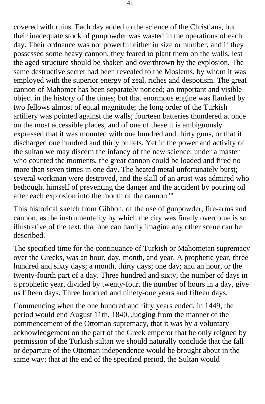covered with ruins. Each day added to the science of the Christians, but their inadequate stock of gunpowder was wasted in the operations of each day. Their ordnance was not powerful either in size or number, and if they possessed some heavy cannon, they feared to plant them on the walls, lest the aged structure should be shaken and overthrown by the explosion. The same destructive secret had been revealed to the Moslems, by whom it was employed with the superior energy of zeal, riches and despotism. The great cannon of Mahomet has been separately noticed; an important and visible object in the history of the times; but that enormous engine was flanked by two fellows almost of equal magnitude; the long order of the Turkish artillery was pointed against the walls; fourteen batteries thundered at once on the most accessible places, and of one of these it is ambiguously expressed that it was mounted with one hundred and thirty guns, or that it discharged one hundred and thirty bullets. Yet in the power and activity of the sultan we may discern the infancy of the new science; under a master who counted the moments, the great cannon could be loaded and fired no more than seven times in one day. The heated metal unfortunately burst; several workman were destroyed, and the skill of an artist was admired who bethought himself of preventing the danger and the accident by pouring oil after each explosion into the mouth of the cannon.'"

This historical sketch from Gibbon, of the use of gunpowder, fire-arms and cannon, as the instrumentality by which the city was finally overcome is so illustrative of the text, that one can hardly imagine any other scene can be described.

The specified time for the continuance of Turkish or Mahometan supremacy over the Greeks, was an hour, day, month, and year. A prophetic year, three hundred and sixty days; a month, thirty days; one day; and an hour, or the twenty-fourth part of a day. Three hundred and sixty, the number of days in a prophetic year, divided by twenty-four, the number of hours in a day, give us fifteen days. Three hundred and ninety-one years and fifteen days.

Commencing when the one hundred and fifty years ended, in 1449, the period would end August 11th, 1840. Judging from the manner of the commencement of the Ottoman supremacy, that it was by a voluntary acknowledgement on the part of the Greek emperor that he only reigned by permission of the Turkish sultan we should naturally conclude that the fall or departure of the Ottoman independence would be brought about in the same way; that at the end of the specified period, the Sultan would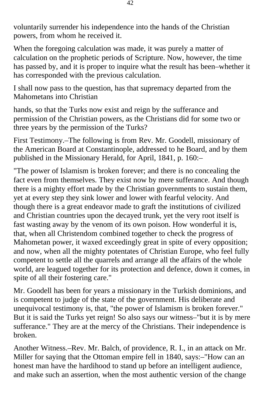voluntarily surrender his independence into the hands of the Christian powers, from whom he received it.

When the foregoing calculation was made, it was purely a matter of calculation on the prophetic periods of Scripture. Now, however, the time has passed by, and it is proper to inquire what the result has been–whether it has corresponded with the previous calculation.

I shall now pass to the question, has that supremacy departed from the Mahometans into Christian

hands, so that the Turks now exist and reign by the sufferance and permission of the Christian powers, as the Christians did for some two or three years by the permission of the Turks?

First Testimony.–The following is from Rev. Mr. Goodell, missionary of the American Board at Constantinople, addressed to he Board, and by them published in the Missionary Herald, for April, 1841, p. 160:–

"The power of Islamism is broken forever; and there is no concealing the fact even from themselves. They exist now by mere sufferance. And though there is a mighty effort made by the Christian governments to sustain them, yet at every step they sink lower and lower with fearful velocity. And though there is a great endeavor made to graft the institutions of civilized and Christian countries upon the decayed trunk, yet the very root itself is fast wasting away by the venom of its own poison. How wonderful it is, that, when all Christendom combined together to check the progress of Mahometan power, it waxed exceedingly great in spite of every opposition; and now, when all the mighty potentates of Christian Europe, who feel fully competent to settle all the quarrels and arrange all the affairs of the whole world, are leagued together for its protection and defence, down it comes, in spite of all their fostering care."

Mr. Goodell has been for years a missionary in the Turkish dominions, and is competent to judge of the state of the government. His deliberate and unequivocal testimony is, that, "the power of Islamism is broken forever." But it is said the Turks yet reign! So also says our witness–"but it is by mere sufferance." They are at the mercy of the Christians. Their independence is broken.

Another Witness.–Rev. Mr. Balch, of providence, R. I., in an attack on Mr. Miller for saying that the Ottoman empire fell in 1840, says:–"How can an honest man have the hardihood to stand up before an intelligent audience, and make such an assertion, when the most authentic version of the change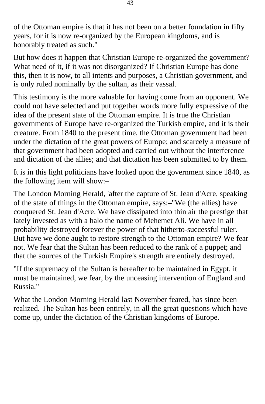of the Ottoman empire is that it has not been on a better foundation in fifty years, for it is now re-organized by the European kingdoms, and is honorably treated as such."

But how does it happen that Christian Europe re-organized the government? What need of it, if it was not disorganized? If Christian Europe has done this, then it is now, to all intents and purposes, a Christian government, and is only ruled nominally by the sultan, as their vassal.

This testimony is the more valuable for having come from an opponent. We could not have selected and put together words more fully expressive of the idea of the present state of the Ottoman empire. It is true the Christian governments of Europe have re-organized the Turkish empire, and it is their creature. From 1840 to the present time, the Ottoman government had been under the dictation of the great powers of Europe; and scarcely a measure of that government had been adopted and carried out without the interference and dictation of the allies; and that dictation has been submitted to by them.

It is in this light politicians have looked upon the government since 1840, as the following item will show:–

The London Morning Herald, 'after the capture of St. Jean d'Acre, speaking of the state of things in the Ottoman empire, says:–"We (the allies) have conquered St. Jean d'Acre. We have dissipated into thin air the prestige that lately invested as with a halo the name of Mehemet Ali. We have in all probability destroyed forever the power of that hitherto-successful ruler. But have we done aught to restore strength to the Ottoman empire? We fear not. We fear that the Sultan has been reduced to the rank of a puppet; and that the sources of the Turkish Empire's strength are entirely destroyed.

"If the supremacy of the Sultan is hereafter to be maintained in Egypt, it must be maintained, we fear, by the unceasing intervention of England and Russia."

What the London Morning Herald last November feared, has since been realized. The Sultan has been entirely, in all the great questions which have come up, under the dictation of the Christian kingdoms of Europe.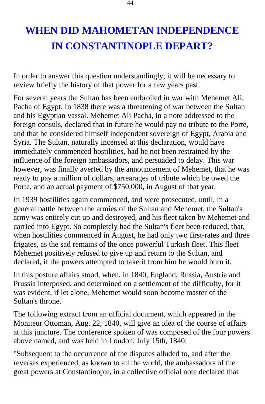## <span id="page-43-0"></span>**WHEN DID MAHOMETAN INDEPENDENCE IN CONSTANTINOPLE DEPART?**

In order to answer this question understandingly, it will be necessary to review briefly the history of that power for a few years past.

For several years the Sultan has been embroiled in war with Mehemet Ali, Pacha of Egypt. In 1838 there was a threatening of war between the Sultan and his Egyptian vassal. Mehemet Ali Pacha, in a note addressed to the foreign consuls, declared that in future he would pay no tribute to the Porte, and that he considered himself independent sovereign of Egypt, Arabia and Syria. The Sultan, naturally incensed at this declaration, would have immediately commenced hostilities, had he not been restrained by the influence of the foreign ambassadors, and persuaded to delay. This war however, was finally averted by the announcement of Mehemet, that he was ready to pay a million of dollars, arrearages of tribute which he owed the Porte, and an actual payment of \$750,000, in August of that year.

In 1939 hostilities again commenced, and were prosecuted, until, in a general battle between the armies of the Sultan and Mehemet, the Sultan's army was entirely cut up and destroyed, and his fleet taken by Mehemet and carried into Egypt. So completely had the Sultan's fleet been reduced, that, when hostilities commenced in August, he had only two first-rates and three frigates, as the sad remains of the once powerful Turkish fleet. This fleet Mehemet positively refused to give up and return to the Sultan, and declared, if the powers attempted to take it from him he would burn it.

In this posture affairs stood, when, in 1840, England, Russia, Austria and Prussia interposed, and determined on a settlement of the difficulty, for it was evident, if let alone, Mehemet would soon become master of the Sultan's throne.

The following extract from an official document, which appeared in the Moniteur Ottoman, Aug. 22, 1840, will give an idea of the course of affairs at this juncture. The conference spoken of was composed of the four powers above named, and was held in London, July 15th, 1840:

"Subsequent to the occurrence of the disputes alluded to, and after the reverses experienced, as known to all the world, the ambassadors of the great powers at Constantinople, in a collective official note declared that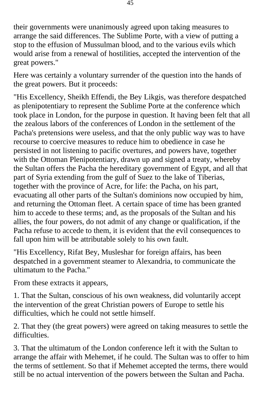their governments were unanimously agreed upon taking measures to arrange the said differences. The Sublime Porte, with a view of putting a stop to the effusion of Mussulman blood, and to the various evils which would arise from a renewal of hostilities, accepted the intervention of the great powers."

Here was certainly a voluntary surrender of the question into the hands of the great powers. But it proceeds:

"His Excellency, Sheikh Effendi, the Bey Likgis, was therefore despatched as plenipotentiary to represent the Sublime Porte at the conference which took place in London, for the purpose in question. It having been felt that all the zealous labors of the conferences of London in the settlement of the Pacha's pretensions were useless, and that the only public way was to have recourse to coercive measures to reduce him to obedience in case he persisted in not listening to pacific overtures, and powers have, together with the Ottoman Plenipotentiary, drawn up and signed a treaty, whereby the Sultan offers the Pacha the hereditary government of Egypt, and all that part of Syria extending from the gulf of Suez to the lake of Tiberias, together with the province of Acre, for life: the Pacha, on his part, evacuating all other parts of the Sultan's dominions now occupied by him, and returning the Ottoman fleet. A certain space of time has been granted him to accede to these terms; and, as the proposals of the Sultan and his allies, the four powers, do not admit of any change or qualification, if the Pacha refuse to accede to them, it is evident that the evil consequences to fall upon him will be attributable solely to his own fault.

"His Excellency, Rifat Bey, Musleshar for foreign affairs, has been despatched in a government steamer to Alexandria, to communicate the ultimatum to the Pacha."

From these extracts it appears,

1. That the Sultan, conscious of his own weakness, did voluntarily accept the intervention of the great Christian powers of Europe to settle his difficulties, which he could not settle himself.

2. That they (the great powers) were agreed on taking measures to settle the difficulties.

3. That the ultimatum of the London conference left it with the Sultan to arrange the affair with Mehemet, if he could. The Sultan was to offer to him the terms of settlement. So that if Mehemet accepted the terms, there would still be no actual intervention of the powers between the Sultan and Pacha.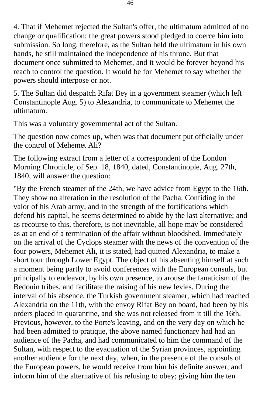4. That if Mehemet rejected the Sultan's offer, the ultimatum admitted of no change or qualification; the great powers stood pledged to coerce him into submission. So long, therefore, as the Sultan held the ultimatum in his own hands, he still maintained the independence of his throne. But that document once submitted to Mehemet, and it would be forever beyond his reach to control the question. It would be for Mehemet to say whether the powers should interpose or not.

5. The Sultan did despatch Rifat Bey in a government steamer (which left Constantinople Aug. 5) to Alexandria, to communicate to Mehemet the ultimatum.

This was a voluntary governmental act of the Sultan.

The question now comes up, when was that document put officially under the control of Mehemet Ali?

The following extract from a letter of a correspondent of the London Morning Chronicle, of Sep. 18, 1840, dated, Constantinople, Aug. 27th, 1840, will answer the question:

"By the French steamer of the 24th, we have advice from Egypt to the 16th. They show no alteration in the resolution of the Pacha. Confiding in the valor of his Arab army, and in the strength of the fortifications which defend his capital, he seems determined to abide by the last alternative; and as recourse to this, therefore, is not inevitable, all hope may be considered as at an end of a termination of the affair without bloodshed. Immediately on the arrival of the Cyclops steamer with the news of the convention of the four powers, Mehemet Ali, it is stated, had quitted Alexandria, to make a short tour through Lower Egypt. The object of his absenting himself at such a moment being partly to avoid conferences with the European consuls, but principally to endeavor, by his own presence, to arouse the fanaticism of the Bedouin tribes, and facilitate the raising of his new levies. During the interval of his absence, the Turkish government steamer, which had reached Alexandria on the 11th, with the envoy Rifat Bey on board, had been by his orders placed in quarantine, and she was not released from it till the 16th. Previous, however, to the Porte's leaving, and on the very day on which he had been admitted to pratique, the above named functionary had had an audience of the Pacha, and had communicated to him the command of the Sultan, with respect to the evacuation of the Syrian provinces, appointing another audience for the next day, when, in the presence of the consuls of the European powers, he would receive from him his definite answer, and inform him of the alternative of his refusing to obey; giving him the ten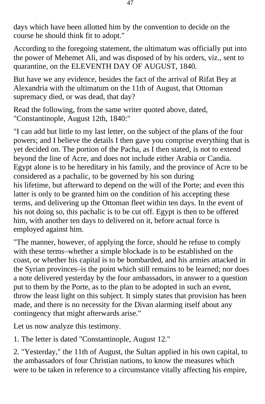days which have been allotted him by the convention to decide on the course he should think fit to adopt."

According to the foregoing statement, the ultimatum was officially put into the power of Mehemet Ali, and was disposed of by his orders, viz., sent to quarantine, on the ELEVENTH DAY OF AUGUST, 1840.

But have we any evidence, besides the fact of the arrival of Rifat Bey at Alexandria with the ultimatum on the 11th of August, that Ottoman supremacy died, or was dead, that day?

Read the following, from the same writer quoted above, dated, "Constantinople, August 12th, 1840:"

"I can add but little to my last letter, on the subject of the plans of the four powers; and I believe the details I then gave you comprise everything that is yet decided on. The portion of the Pacha, as I then stated, is not to extend beyond the line of Acre, and does not include either Arabia or Candia. Egypt alone is to be hereditary in his family, and the province of Acre to be considered as a pachalic, to be governed by his son during his lifetime, but afterward to depend on the will of the Porte; and even this latter is only to be granted him on the condition of his accepting these terms, and delivering up the Ottoman fleet within ten days. In the event of his not doing so, this pachalic is to be cut off. Egypt is then to be offered him, with another ten days to delivered on it, before actual force is employed against him.

"The manner, however, of applying the force, should he refuse to comply with these terms–whether a simple blockade is to be established on the coast, or whether his capital is to be bombarded, and his armies attacked in the Syrian provinces–is the point which still remains to be learned; nor does a note delivered yesterday by the four ambassadors, in answer to a question put to them by the Porte, as to the plan to be adopted in such an event, throw the least light on this subject. It simply states that provision has been made, and there is no necessity for the Divan alarming itself about any contingency that might afterwards arise."

Let us now analyze this testimony.

1. The letter is dated "Constantinople, August 12."

2. "Yesterday," the 11th of August, the Sultan applied in his own capital, to the ambassadors of four Christian nations, to know the measures which were to be taken in reference to a circumstance vitally affecting his empire,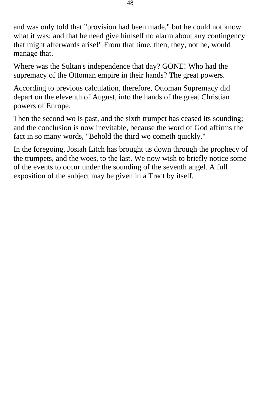and was only told that "provision had been made," but he could not know what it was; and that he need give himself no alarm about any contingency that might afterwards arise!" From that time, then, they, not he, would manage that.

Where was the Sultan's independence that day? GONE! Who had the supremacy of the Ottoman empire in their hands? The great powers.

According to previous calculation, therefore, Ottoman Supremacy did depart on the eleventh of August, into the hands of the great Christian powers of Europe.

Then the second wo is past, and the sixth trumpet has ceased its sounding; and the conclusion is now inevitable, because the word of God affirms the fact in so many words, "Behold the third wo cometh quickly."

In the foregoing, Josiah Litch has brought us down through the prophecy of the trumpets, and the woes, to the last. We now wish to briefly notice some of the events to occur under the sounding of the seventh angel. A full exposition of the subject may be given in a Tract by itself.